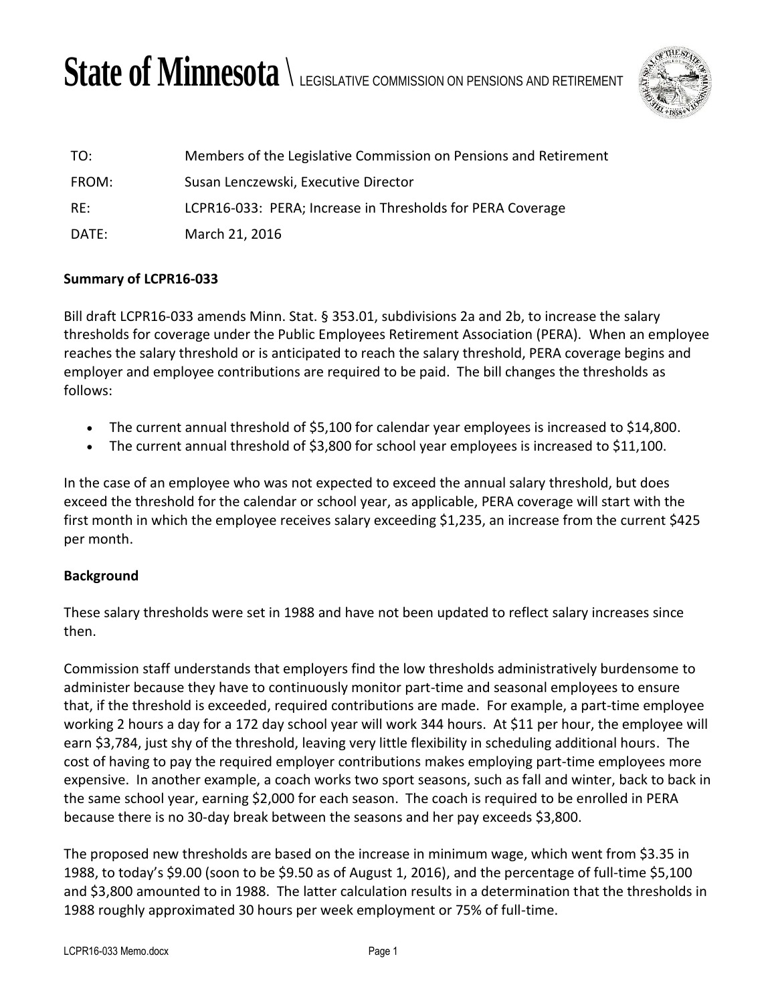# State of Minnesota  $\setminus$  legislative commission on pensions and retirement



| TO:   | Members of the Legislative Commission on Pensions and Retirement |
|-------|------------------------------------------------------------------|
| FROM: | Susan Lenczewski, Executive Director                             |
| RF:   | LCPR16-033: PERA; Increase in Thresholds for PERA Coverage       |
| DATE: | March 21, 2016                                                   |

### **Summary of LCPR16-033**

Bill draft LCPR16-033 amends Minn. Stat. § 353.01, subdivisions 2a and 2b, to increase the salary thresholds for coverage under the Public Employees Retirement Association (PERA). When an employee reaches the salary threshold or is anticipated to reach the salary threshold, PERA coverage begins and employer and employee contributions are required to be paid. The bill changes the thresholds as follows:

- The current annual threshold of \$5,100 for calendar year employees is increased to \$14,800.
- The current annual threshold of \$3,800 for school year employees is increased to \$11,100.

In the case of an employee who was not expected to exceed the annual salary threshold, but does exceed the threshold for the calendar or school year, as applicable, PERA coverage will start with the first month in which the employee receives salary exceeding \$1,235, an increase from the current \$425 per month.

## **Background**

These salary thresholds were set in 1988 and have not been updated to reflect salary increases since then.

Commission staff understands that employers find the low thresholds administratively burdensome to administer because they have to continuously monitor part-time and seasonal employees to ensure that, if the threshold is exceeded, required contributions are made. For example, a part-time employee working 2 hours a day for a 172 day school year will work 344 hours. At \$11 per hour, the employee will earn \$3,784, just shy of the threshold, leaving very little flexibility in scheduling additional hours. The cost of having to pay the required employer contributions makes employing part-time employees more expensive. In another example, a coach works two sport seasons, such as fall and winter, back to back in the same school year, earning \$2,000 for each season. The coach is required to be enrolled in PERA because there is no 30-day break between the seasons and her pay exceeds \$3,800.

The proposed new thresholds are based on the increase in minimum wage, which went from \$3.35 in 1988, to today's \$9.00 (soon to be \$9.50 as of August 1, 2016), and the percentage of full-time \$5,100 and \$3,800 amounted to in 1988. The latter calculation results in a determination that the thresholds in 1988 roughly approximated 30 hours per week employment or 75% of full-time.